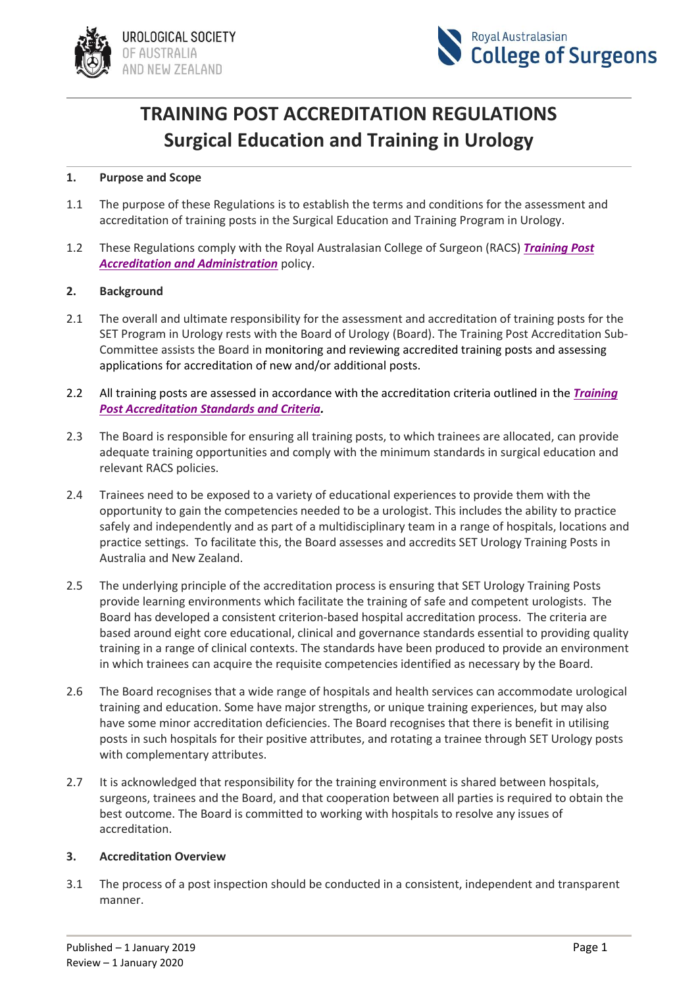



# **TRAINING POST ACCREDITATION REGULATIONS Surgical Education and Training in Urology**

#### **1. Purpose and Scope**

- 1.1 The purpose of these Regulations is to establish the terms and conditions for the assessment and accreditation of training posts in the Surgical Education and Training Program in Urology.
- 1.2 These Regulations comply with the Royal Australasian College of Surgeon (RACS) *[Training Post](https://www.surgeons.org/-/media/Project/RACS/surgeons-org/files/policies/eta-education-and-training-administration/set-surgical-education-and-training/eta-set-043_training_post_accreditation_and_administration.pdf?rev=53e5b7d7ab874394a728c03b29daecdf&hash=ABD6D7353B81B1C991F929082031AD5D)  [Accreditation and Administration](https://www.surgeons.org/-/media/Project/RACS/surgeons-org/files/policies/eta-education-and-training-administration/set-surgical-education-and-training/eta-set-043_training_post_accreditation_and_administration.pdf?rev=53e5b7d7ab874394a728c03b29daecdf&hash=ABD6D7353B81B1C991F929082031AD5D)* policy.

#### **2. Background**

- 2.1 The overall and ultimate responsibility for the assessment and accreditation of training posts for the SET Program in Urology rests with the Board of Urology (Board). The Training Post Accreditation Sub-Committee assists the Board in monitoring and reviewing accredited training posts and assessing applications for accreditation of new and/or additional posts.
- 2.2 All training posts are assessed in accordance with the accreditation criteria outlined in the *[Training](file:///C:/Users/Deborah/OneDrive%20-%20Urological%20Society%20of%20Australia%20and%20New%20Zealand/Downloads/SET-Urology-Training-Posts---Accreditation-Standards--as-at-February-2022.pdf)  [Post Accreditation Standards and Criteria.](file:///C:/Users/Deborah/OneDrive%20-%20Urological%20Society%20of%20Australia%20and%20New%20Zealand/Downloads/SET-Urology-Training-Posts---Accreditation-Standards--as-at-February-2022.pdf)*
- 2.3 The Board is responsible for ensuring all training posts, to which trainees are allocated, can provide adequate training opportunities and comply with the minimum standards in surgical education and relevant RACS policies.
- 2.4 Trainees need to be exposed to a variety of educational experiences to provide them with the opportunity to gain the competencies needed to be a urologist. This includes the ability to practice safely and independently and as part of a multidisciplinary team in a range of hospitals, locations and practice settings. To facilitate this, the Board assesses and accredits SET Urology Training Posts in Australia and New Zealand.
- 2.5 The underlying principle of the accreditation process is ensuring that SET Urology Training Posts provide learning environments which facilitate the training of safe and competent urologists. The Board has developed a consistent criterion-based hospital accreditation process. The criteria are based around eight core educational, clinical and governance standards essential to providing quality training in a range of clinical contexts. The standards have been produced to provide an environment in which trainees can acquire the requisite competencies identified as necessary by the Board.
- 2.6 The Board recognises that a wide range of hospitals and health services can accommodate urological training and education. Some have major strengths, or unique training experiences, but may also have some minor accreditation deficiencies. The Board recognises that there is benefit in utilising posts in such hospitals for their positive attributes, and rotating a trainee through SET Urology posts with complementary attributes.
- 2.7 It is acknowledged that responsibility for the training environment is shared between hospitals, surgeons, trainees and the Board, and that cooperation between all parties is required to obtain the best outcome. The Board is committed to working with hospitals to resolve any issues of accreditation.

#### **3. Accreditation Overview**

3.1 The process of a post inspection should be conducted in a consistent, independent and transparent manner.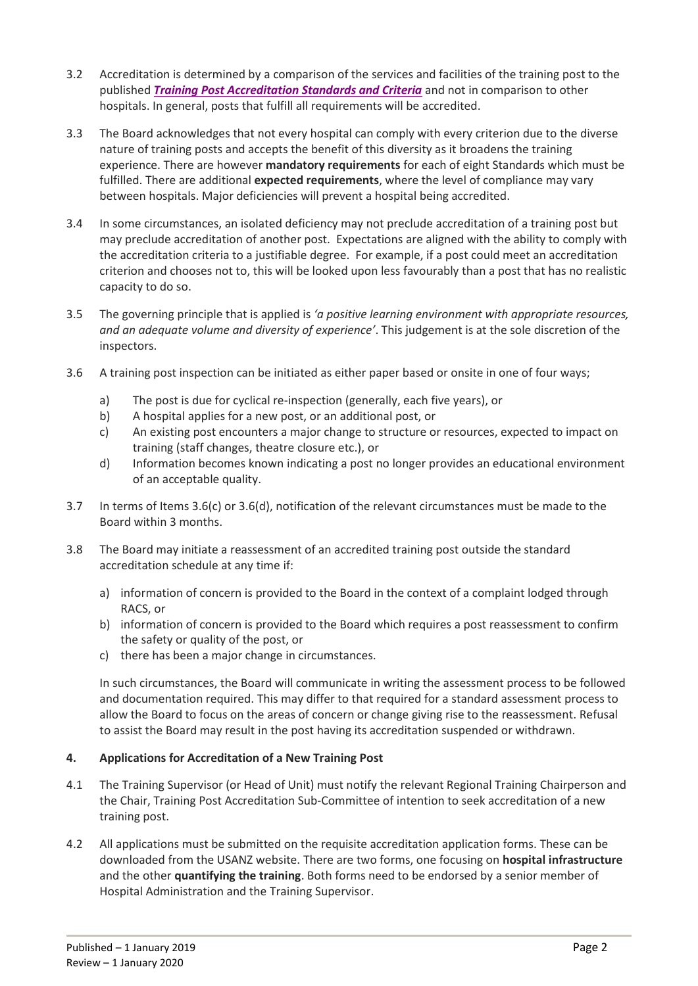- 3.2 Accreditation is determined by a comparison of the services and facilities of the training post to the published *[Training Post Accreditation Standards and Criteria](file:///C:/Users/Deborah/OneDrive%20-%20Urological%20Society%20of%20Australia%20and%20New%20Zealand/Downloads/SET-Urology-Training-Posts---Accreditation-Standards--as-at-February-2022.pdf)* and not in comparison to other hospitals. In general, posts that fulfill all requirements will be accredited.
- 3.3 The Board acknowledges that not every hospital can comply with every criterion due to the diverse nature of training posts and accepts the benefit of this diversity as it broadens the training experience. There are however **mandatory requirements** for each of eight Standards which must be fulfilled. There are additional **expected requirements**, where the level of compliance may vary between hospitals. Major deficiencies will prevent a hospital being accredited.
- 3.4 In some circumstances, an isolated deficiency may not preclude accreditation of a training post but may preclude accreditation of another post. Expectations are aligned with the ability to comply with the accreditation criteria to a justifiable degree. For example, if a post could meet an accreditation criterion and chooses not to, this will be looked upon less favourably than a post that has no realistic capacity to do so.
- 3.5 The governing principle that is applied is *'a positive learning environment with appropriate resources, and an adequate volume and diversity of experience'*. This judgement is at the sole discretion of the inspectors.
- 3.6 A training post inspection can be initiated as either paper based or onsite in one of four ways;
	- a) The post is due for cyclical re-inspection (generally, each five years), or
	- b) A hospital applies for a new post, or an additional post, or
	- c) An existing post encounters a major change to structure or resources, expected to impact on training (staff changes, theatre closure etc.), or
	- d) Information becomes known indicating a post no longer provides an educational environment of an acceptable quality.
- 3.7 In terms of Items 3.6(c) or 3.6(d), notification of the relevant circumstances must be made to the Board within 3 months.
- 3.8 The Board may initiate a reassessment of an accredited training post outside the standard accreditation schedule at any time if:
	- a) information of concern is provided to the Board in the context of a complaint lodged through RACS, or
	- b) information of concern is provided to the Board which requires a post reassessment to confirm the safety or quality of the post, or
	- c) there has been a major change in circumstances.

In such circumstances, the Board will communicate in writing the assessment process to be followed and documentation required. This may differ to that required for a standard assessment process to allow the Board to focus on the areas of concern or change giving rise to the reassessment. Refusal to assist the Board may result in the post having its accreditation suspended or withdrawn.

## **4. Applications for Accreditation of a New Training Post**

- 4.1 The Training Supervisor (or Head of Unit) must notify the relevant Regional Training Chairperson and the Chair, Training Post Accreditation Sub-Committee of intention to seek accreditation of a new training post.
- 4.2 All applications must be submitted on the requisite accreditation application forms. These can be downloaded from the USANZ website. There are two forms, one focusing on **hospital infrastructure** and the other **quantifying the training**. Both forms need to be endorsed by a senior member of Hospital Administration and the Training Supervisor.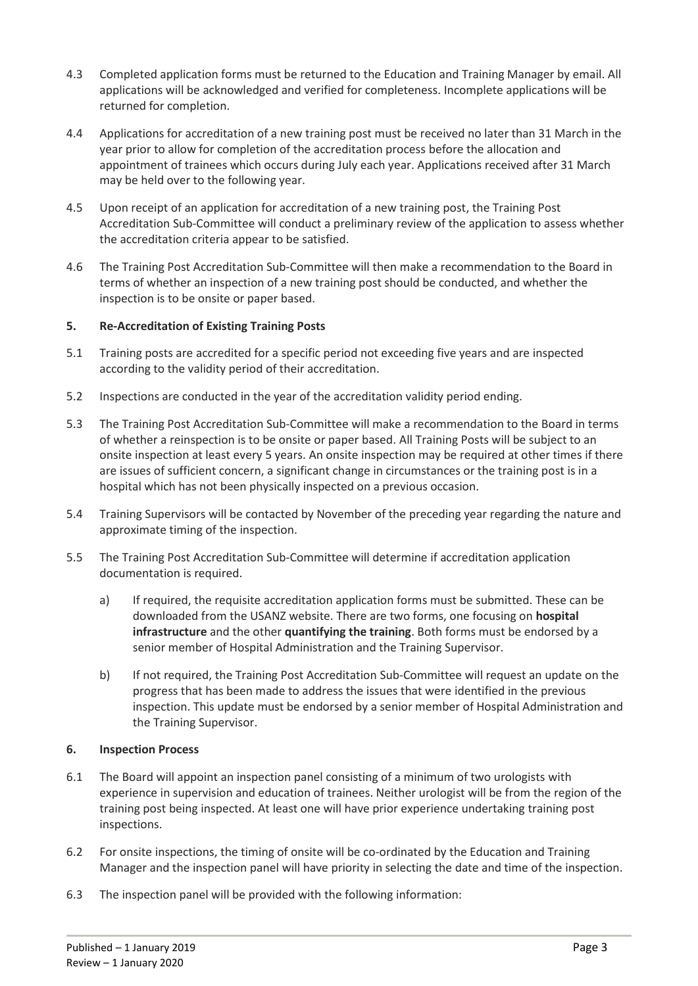- 4.3 Completed application forms must be returned to the Education and Training Manager by email. All applications will be acknowledged and verified for completeness. Incomplete applications will be returned for completion.
- 4.4 Applications for accreditation of a new training post must be received no later than 31 March in the year prior to allow for completion of the accreditation process before the allocation and appointment of trainees which occurs during July each year. Applications received after 31 March may be held over to the following year.
- 4.5 Upon receipt of an application for accreditation of a new training post, the Training Post Accreditation Sub-Committee will conduct a preliminary review of the application to assess whether the accreditation criteria appear to be satisfied.
- 4.6 The Training Post Accreditation Sub-Committee will then make a recommendation to the Board in terms of whether an inspection of a new training post should be conducted, and whether the inspection is to be onsite or paper based.

## **5. Re-Accreditation of Existing Training Posts**

- 5.1 Training posts are accredited for a specific period not exceeding five years and are inspected according to the validity period of their accreditation.
- 5.2 Inspections are conducted in the year of the accreditation validity period ending.
- 5.3 The Training Post Accreditation Sub-Committee will make a recommendation to the Board in terms of whether a reinspection is to be onsite or paper based. All Training Posts will be subject to an onsite inspection at least every 5 years. An onsite inspection may be required at other times if there are issues of sufficient concern, a significant change in circumstances or the training post is in a hospital which has not been physically inspected on a previous occasion.
- 5.4 Training Supervisors will be contacted by November of the preceding year regarding the nature and approximate timing of the inspection.
- 5.5 The Training Post Accreditation Sub-Committee will determine if accreditation application documentation is required.
	- a) If required, the requisite accreditation application forms must be submitted. These can be downloaded from the USANZ website. There are two forms, one focusing on **hospital infrastructure** and the other **quantifying the training**. Both forms must be endorsed by a senior member of Hospital Administration and the Training Supervisor.
	- b) If not required, the Training Post Accreditation Sub-Committee will request an update on the progress that has been made to address the issues that were identified in the previous inspection. This update must be endorsed by a senior member of Hospital Administration and the Training Supervisor.

## **6. Inspection Process**

- 6.1 The Board will appoint an inspection panel consisting of a minimum of two urologists with experience in supervision and education of trainees. Neither urologist will be from the region of the training post being inspected. At least one will have prior experience undertaking training post inspections.
- 6.2 For onsite inspections, the timing of onsite will be co-ordinated by the Education and Training Manager and the inspection panel will have priority in selecting the date and time of the inspection.
- 6.3 The inspection panel will be provided with the following information: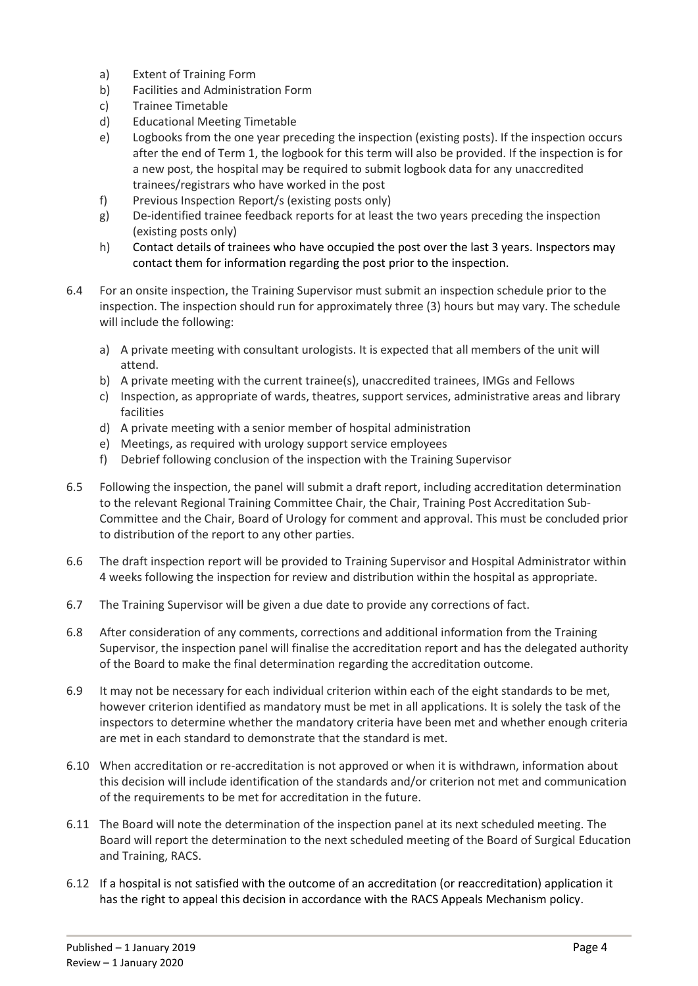- a) Extent of Training Form
- b) Facilities and Administration Form
- c) Trainee Timetable
- d) Educational Meeting Timetable
- e) Logbooks from the one year preceding the inspection (existing posts). If the inspection occurs after the end of Term 1, the logbook for this term will also be provided. If the inspection is for a new post, the hospital may be required to submit logbook data for any unaccredited trainees/registrars who have worked in the post
- f) Previous Inspection Report/s (existing posts only)
- g) De-identified trainee feedback reports for at least the two years preceding the inspection (existing posts only)
- h) Contact details of trainees who have occupied the post over the last 3 years. Inspectors may contact them for information regarding the post prior to the inspection.
- 6.4 For an onsite inspection, the Training Supervisor must submit an inspection schedule prior to the inspection. The inspection should run for approximately three (3) hours but may vary. The schedule will include the following:
	- a) A private meeting with consultant urologists. It is expected that all members of the unit will attend.
	- b) A private meeting with the current trainee(s), unaccredited trainees, IMGs and Fellows
	- c) Inspection, as appropriate of wards, theatres, support services, administrative areas and library facilities
	- d) A private meeting with a senior member of hospital administration
	- e) Meetings, as required with urology support service employees
	- f) Debrief following conclusion of the inspection with the Training Supervisor
- 6.5 Following the inspection, the panel will submit a draft report, including accreditation determination to the relevant Regional Training Committee Chair, the Chair, Training Post Accreditation Sub-Committee and the Chair, Board of Urology for comment and approval. This must be concluded prior to distribution of the report to any other parties.
- 6.6 The draft inspection report will be provided to Training Supervisor and Hospital Administrator within 4 weeks following the inspection for review and distribution within the hospital as appropriate.
- 6.7 The Training Supervisor will be given a due date to provide any corrections of fact.
- 6.8 After consideration of any comments, corrections and additional information from the Training Supervisor, the inspection panel will finalise the accreditation report and has the delegated authority of the Board to make the final determination regarding the accreditation outcome.
- 6.9 It may not be necessary for each individual criterion within each of the eight standards to be met, however criterion identified as mandatory must be met in all applications. It is solely the task of the inspectors to determine whether the mandatory criteria have been met and whether enough criteria are met in each standard to demonstrate that the standard is met.
- 6.10 When accreditation or re-accreditation is not approved or when it is withdrawn, information about this decision will include identification of the standards and/or criterion not met and communication of the requirements to be met for accreditation in the future.
- 6.11 The Board will note the determination of the inspection panel at its next scheduled meeting. The Board will report the determination to the next scheduled meeting of the Board of Surgical Education and Training, RACS.
- 6.12 If a hospital is not satisfied with the outcome of an accreditation (or reaccreditation) application it has the right to appeal this decision in accordance with the RACS Appeals Mechanism policy.